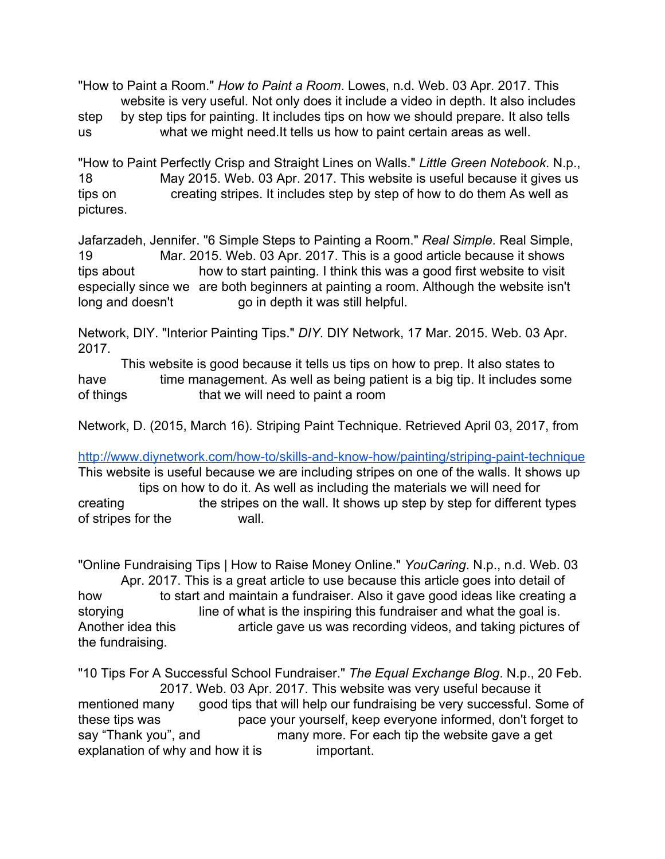"How to Paint a Room." *How to Paint a Room*. Lowes, n.d. Web. 03 Apr. 2017. This website is very useful. Not only does it include a video in depth. It also includes step by step tips for painting. It includes tips on how we should prepare. It also tells us what we might need.It tells us how to paint certain areas as well.

"How to Paint Perfectly Crisp and Straight Lines on Walls." *Little Green Notebook*. N.p., 18 May 2015. Web. 03 Apr. 2017. This website is useful because it gives us tips on creating stripes. It includes step by step of how to do them As well as pictures.

Jafarzadeh, Jennifer. "6 Simple Steps to Painting a Room." *Real Simple*. Real Simple, 19 Mar. 2015. Web. 03 Apr. 2017. This is a good article because it shows tips about how to start painting. I think this was a good first website to visit especially since we are both beginners at painting a room. Although the website isn't long and doesn't go in depth it was still helpful.

Network, DIY. "Interior Painting Tips." *DIY*. DIY Network, 17 Mar. 2015. Web. 03 Apr. 2017.

 This website is good because it tells us tips on how to prep. It also states to have time management. As well as being patient is a big tip. It includes some of things that we will need to paint a room

Network, D. (2015, March 16). Striping Paint Technique. Retrieved April 03, 2017, from

<http://www.diynetwork.com/how-to/skills-and-know-how/painting/striping-paint-technique> This website is useful because we are including stripes on one of the walls. It shows up tips on how to do it. As well as including the materials we will need for creating the stripes on the wall. It shows up step by step for different types of stripes for the wall.

"Online Fundraising Tips | How to Raise Money Online." *YouCaring*. N.p., n.d. Web. 03 Apr. 2017. This is a great article to use because this article goes into detail of how to start and maintain a fundraiser. Also it gave good ideas like creating a storying line of what is the inspiring this fundraiser and what the goal is. Another idea this article gave us was recording videos, and taking pictures of the fundraising.

"10 Tips For A Successful School Fundraiser." *The Equal Exchange Blog*. N.p., 20 Feb. 2017. Web. 03 Apr. 2017. This website was very useful because it mentioned many good tips that will help our fundraising be very successful. Some of these tips was pace your yourself, keep everyone informed, don't forget to say "Thank you", and many more. For each tip the website gave a get explanation of why and how it is important.